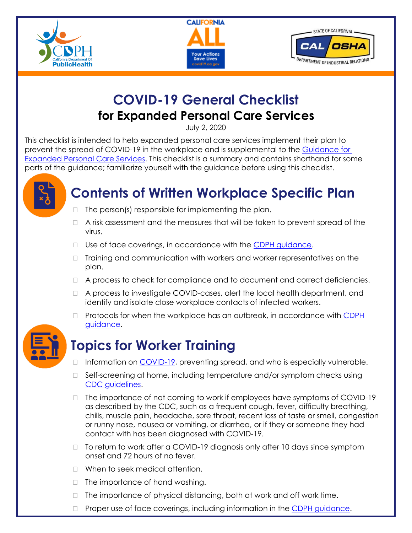





## **COVID-19 General Checklist for Expanded Personal Care Services**

July 2, 2020

This checklist is intended to help expanded personal care services implement their plan to prevent the spread of COVID-19 in the workplace and is supplemental to the [Guidance for](https://files.covid19.ca.gov/pdf/expanded-personal-services--en.pdf)  [Expanded Personal Care Services.](https://files.covid19.ca.gov/pdf/expanded-personal-services--en.pdf) This checklist is a summary and contains shorthand for some parts of the guidance; familiarize yourself with the guidance before using this checklist.



# **Contents of Written Workplace Specific Plan**

- $\Box$  The person(s) responsible for implementing the plan.
- $\Box$  A risk assessment and the measures that will be taken to prevent spread of the virus.
- $\Box$  Use of face coverings, in accordance with the [CDPH guidance.](https://www.cdph.ca.gov/Programs/CID/DCDC/CDPH%20Document%20Library/COVID-19/Guidance-for-Face-Coverings_06-18-2020.pdf)
- □ Training and communication with workers and worker representatives on the plan.
- A process to check for compliance and to document and correct deficiencies.
- A process to investigate COVID-cases, alert the local health department, and identify and isolate close workplace contacts of infected workers.
- $\Box$  Protocols for when the workplace has an outbreak, in accordance with CDPH [guidance.](https://www.cdph.ca.gov/Programs/CID/DCDC/Pages/COVID-19/Workplace-Outbreak-Employer-Guidance.aspx)



# **Topics for Worker Training**

- $\Box$  Information on  $\overline{COVID-19}$ , preventing spread, and who is especially vulnerable.
- $\Box$  Self-screening at home, including temperature and/or symptom checks using [CDC guidelines.](https://www.cdc.gov/coronavirus/2019-ncov/symptoms-testing/symptoms.html)
- $\Box$  The importance of not coming to work if employees have symptoms of COVID-19 as described by the CDC, such as a frequent cough, fever, difficulty breathing, chills, muscle pain, headache, sore throat, recent loss of taste or smell, congestion or runny nose, nausea or vomiting, or diarrhea, or if they or someone they had contact with has been diagnosed with COVID-19.
- □ To return to work after a COVID-19 diagnosis only after 10 days since symptom onset and 72 hours of no fever.
- □ When to seek medical attention.
- $\Box$  The importance of hand washing.
- $\Box$  The importance of physical distancing, both at work and off work time.
- $\Box$  Proper use of face coverings, including information in the [CDPH guidance.](https://www.cdph.ca.gov/Programs/CID/DCDC/CDPH%20Document%20Library/COVID-19/Guidance-for-Face-Coverings_06-18-2020.pdf)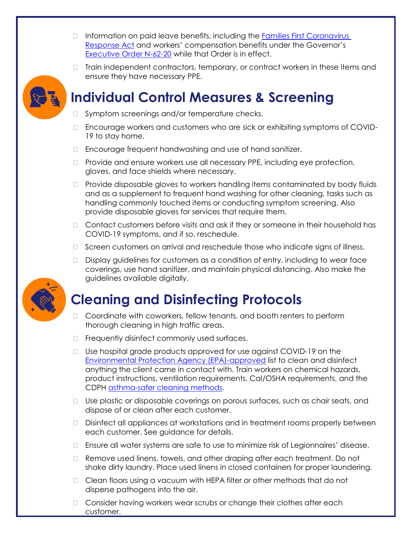- $\Box$  Information on paid leave benefits, including the Families First Coronavirus [Response Act](https://www.labor.ca.gov/coronavirus2019/#chart) and workers' compensation benefits under the Governor's [Executive Order N-62-20](https://www.labor.ca.gov/coronavirus2019/#chart) while that Order is in effect.
- $\Box$  Train independent contractors, temporary, or contract workers in these items and ensure they have necessary PPE.



### **Individual Control Measures & Screening**

- □ Symptom screenings and/or temperature checks.
- Encourage workers and customers who are sick or exhibiting symptoms of COVID-19 to stay home.
- □ Encourage frequent handwashing and use of hand sanitizer.
- □ Provide and ensure workers use all necessary PPE, including eye protection, gloves, and face shields where necessary.
- $\Box$  Provide disposable gloves to workers handling items contaminated by body fluids and as a supplement to frequent hand washing for other cleaning, tasks such as handling commonly touched items or conducting symptom screening. Also provide disposable gloves for services that require them.
- $\Box$  Contact customers before visits and ask if they or someone in their household has COVID-19 symptoms, and if so, reschedule.
- □ Screen customers on arrival and reschedule those who indicate signs of illness.
- $\Box$  Display guidelines for customers as a condition of entry, including to wear face coverings, use hand sanitizer, and maintain physical distancing. Also make the guidelines available digitally.

#### **Cleaning and Disinfecting Protocols**

- $\Box$  Coordinate with coworkers, fellow tenants, and booth renters to perform thorough cleaning in high traffic areas.
- $\Box$  Frequently disinfect commonly used surfaces.
- □ Use hospital grade products approved for use against COVID-19 on the [Environmental Protection Agency \(EPA\)-approved](https://www.epa.gov/pesticide-registration/list-n-disinfectants-use-against-sars-cov-2) list to clean and disinfect anything the client came in contact with. Train workers on chemical hazards, product instructions, ventilation requirements, Cal/OSHA requirements, and the CDPH [asthma-safer cleaning methods.](https://www.cdph.ca.gov/Programs/CCDPHP/DEODC/OHB/Pages/OHWMay2020.aspx)
- Use plastic or disposable coverings on porous surfaces, such as chair seats, and dispose of or clean after each customer.
- Disinfect all appliances at workstations and in treatment rooms properly between each customer. See guidance for details.
- Ensure all water systems are safe to use to minimize risk of Legionnaires' disease.
- □ Remove used linens, towels, and other draping after each treatment. Do not shake dirty laundry. Place used linens in closed containers for proper laundering.
- □ Clean floors using a vacuum with HEPA filter or other methods that do not disperse pathogens into the air.
- □ Consider having workers wear scrubs or change their clothes after each customer.

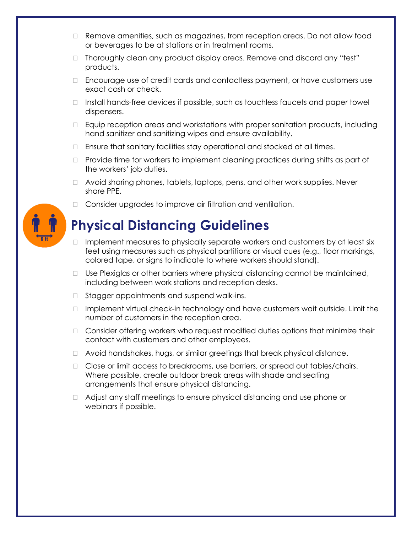- □ Remove amenities, such as magazines, from reception areas. Do not allow food or beverages to be at stations or in treatment rooms.
- □ Thoroughly clean any product display areas. Remove and discard any "test" products.
- $\Box$  Encourage use of credit cards and contactless payment, or have customers use exact cash or check.
- $\Box$  Install hands-free devices if possible, such as touchless faucets and paper towel dispensers.
- Equip reception areas and workstations with proper sanitation products, including hand sanitizer and sanitizing wipes and ensure availability.
- $\Box$  Ensure that sanitary facilities stay operational and stocked at all times.
- $\Box$  Provide time for workers to implement cleaning practices during shifts as part of the workers' job duties.
- Avoid sharing phones, tablets, laptops, pens, and other work supplies. Never share PPE.
- □ Consider upgrades to improve air filtration and ventilation.

# **Physical Distancing Guidelines**

- $\Box$  Implement measures to physically separate workers and customers by at least six feet using measures such as physical partitions or visual cues (e.g., floor markings, colored tape, or signs to indicate to where workers should stand).
- $\Box$  Use Plexiglas or other barriers where physical distancing cannot be maintained, including between work stations and reception desks.
- □ Stagger appointments and suspend walk-ins.
- $\Box$  Implement virtual check-in technology and have customers wait outside. Limit the number of customers in the reception area.
- $\Box$  Consider offering workers who request modified duties options that minimize their contact with customers and other employees.
- Avoid handshakes, hugs, or similar greetings that break physical distance.
- □ Close or limit access to breakrooms, use barriers, or spread out tables/chairs. Where possible, create outdoor break areas with shade and seating arrangements that ensure physical distancing.
- $\Box$  Adjust any staff meetings to ensure physical distancing and use phone or webinars if possible.

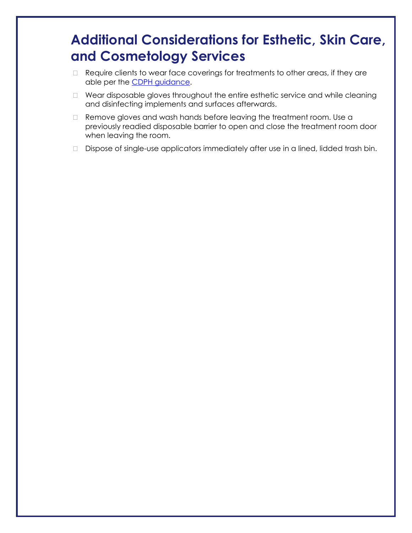### **Additional Considerations for Esthetic, Skin Care, and Cosmetology Services**

- □ Require clients to wear face coverings for treatments to other areas, if they are able per the **CDPH** guidance.
- □ Wear disposable gloves throughout the entire esthetic service and while cleaning and disinfecting implements and surfaces afterwards.
- □ Remove gloves and wash hands before leaving the treatment room. Use a previously readied disposable barrier to open and close the treatment room door when leaving the room.
- Dispose of single-use applicators immediately after use in a lined, lidded trash bin.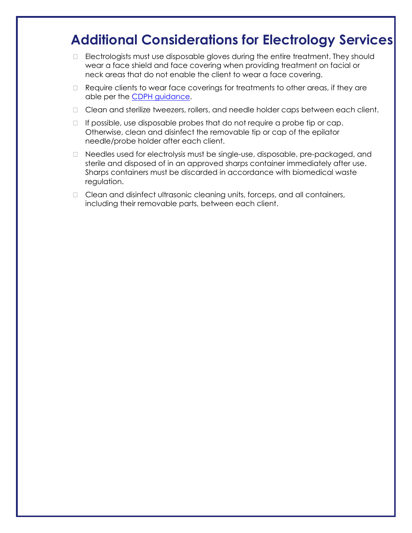#### **Additional Considerations for Electrology Services**

- □ Electrologists must use disposable gloves during the entire treatment. They should wear a face shield and face covering when providing treatment on facial or neck areas that do not enable the client to wear a face covering.
- $\Box$  Require clients to wear face coverings for treatments to other areas, if they are able per the [CDPH guidance.](https://www.cdph.ca.gov/Programs/CID/DCDC/CDPH%20Document%20Library/COVID-19/Guidance-for-Face-Coverings_06-18-2020.pdf)
- □ Clean and sterilize tweezers, rollers, and needle holder caps between each client.
- $\Box$  If possible, use disposable probes that do not require a probe tip or cap. Otherwise, clean and disinfect the removable tip or cap of the epilator needle/probe holder after each client.
- Needles used for electrolysis must be single-use, disposable, pre-packaged, and sterile and disposed of in an approved sharps container immediately after use. Sharps containers must be discarded in accordance with biomedical waste regulation.
- □ Clean and disinfect ultrasonic cleaning units, forceps, and all containers, including their removable parts, between each client.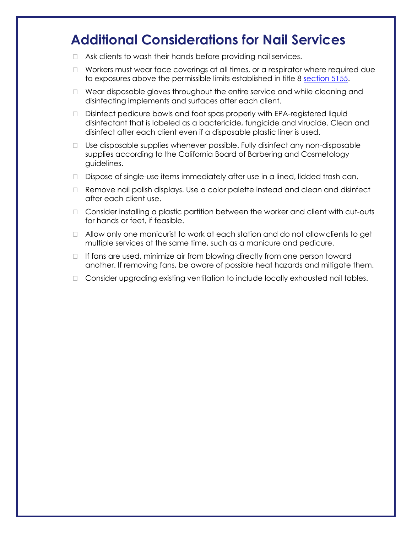#### **Additional Considerations for Nail Services**

- Ask clients to wash their hands before providing nail services.
- □ Workers must wear face coverings at all times, or a respirator where required due to exposures above the permissible limits established in title 8 [section 5155.](https://www.dir.ca.gov/Title8/5155table_ac1.html)
- $\Box$  Wear disposable gloves throughout the entire service and while cleaning and disinfecting implements and surfaces after each client.
- Disinfect pedicure bowls and foot spas properly with EPA-registered liquid disinfectant that is labeled as a bactericide, fungicide and virucide. Clean and disinfect after each client even if a disposable plastic liner is used.
- Use disposable supplies whenever possible. Fully disinfect any non-disposable supplies according to the California Board of Barbering and Cosmetology guidelines.
- □ Dispose of single-use items immediately after use in a lined, lidded trash can.
- Remove nail polish displays. Use a color palette instead and clean and disinfect after each client use.
- $\Box$  Consider installing a plastic partition between the worker and client with cut-outs for hands or feet, if feasible.
- $\Box$  Allow only one manicurist to work at each station and do not allow clients to get multiple services at the same time, such as a manicure and pedicure.
- $\Box$  If fans are used, minimize air from blowing directly from one person toward another. If removing fans, be aware of possible heat hazards and mitigate them.
- □ Consider upgrading existing ventilation to include locally exhausted nail tables.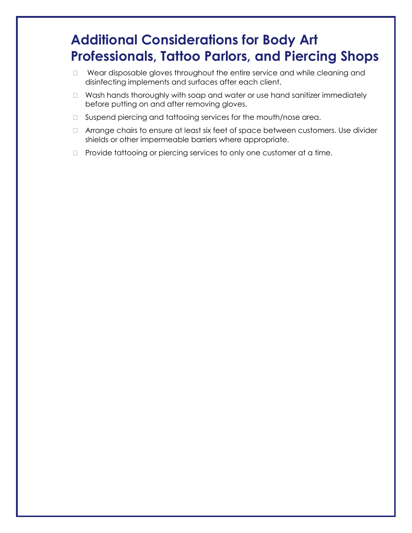### **Additional Considerations for Body Art Professionals, Tattoo Parlors, and Piercing Shops**

- D Wear disposable gloves throughout the entire service and while cleaning and disinfecting implements and surfaces after each client.
- □ Wash hands thoroughly with soap and water or use hand sanitizer immediately before putting on and after removing gloves.
- □ Suspend piercing and tattooing services for the mouth/nose area.
- □ Arrange chairs to ensure at least six feet of space between customers. Use divider shields or other impermeable barriers where appropriate.
- $\Box$  Provide tattooing or piercing services to only one customer at a time.